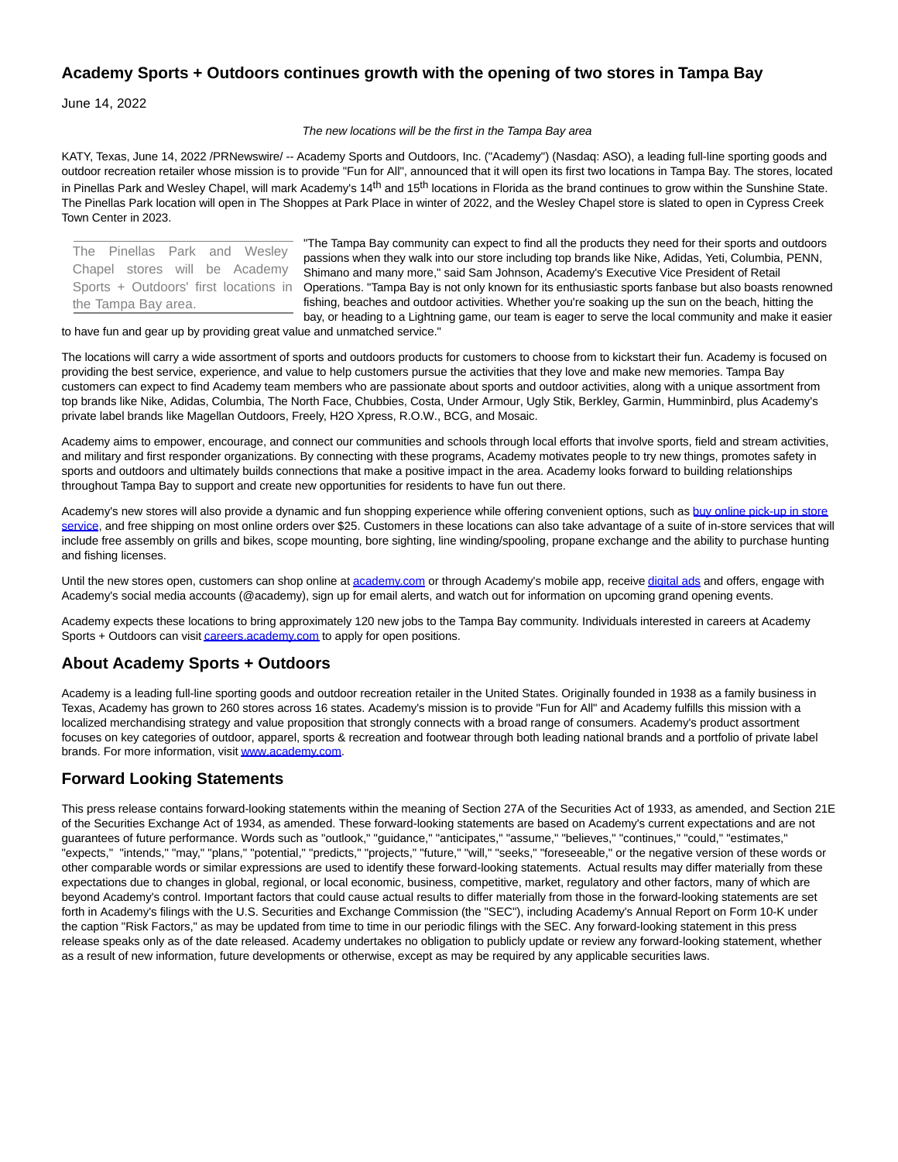# **Academy Sports + Outdoors continues growth with the opening of two stores in Tampa Bay**

June 14, 2022

### The new locations will be the first in the Tampa Bay area

KATY, Texas, June 14, 2022 /PRNewswire/ -- Academy Sports and Outdoors, Inc. ("Academy") (Nasdaq: ASO), a leading full-line sporting goods and outdoor recreation retailer whose mission is to provide "Fun for All", announced that it will open its first two locations in Tampa Bay. The stores, located in Pinellas Park and Wesley Chapel, will mark Academy's 14<sup>th</sup> and 15<sup>th</sup> locations in Florida as the brand continues to grow within the Sunshine State. The Pinellas Park location will open in The Shoppes at Park Place in winter of 2022, and the Wesley Chapel store is slated to open in Cypress Creek Town Center in 2023.

The Pinellas Park and Wesley Chapel stores will be Academy Sports + Outdoors' first locations in the Tampa Bay area.

"The Tampa Bay community can expect to find all the products they need for their sports and outdoors passions when they walk into our store including top brands like Nike, Adidas, Yeti, Columbia, PENN, Shimano and many more," said Sam Johnson, Academy's Executive Vice President of Retail Operations. "Tampa Bay is not only known for its enthusiastic sports fanbase but also boasts renowned fishing, beaches and outdoor activities. Whether you're soaking up the sun on the beach, hitting the bay, or heading to a Lightning game, our team is eager to serve the local community and make it easier

### to have fun and gear up by providing great value and unmatched service."

The locations will carry a wide assortment of sports and outdoors products for customers to choose from to kickstart their fun. Academy is focused on providing the best service, experience, and value to help customers pursue the activities that they love and make new memories. Tampa Bay customers can expect to find Academy team members who are passionate about sports and outdoor activities, along with a unique assortment from top brands like Nike, Adidas, Columbia, The North Face, Chubbies, Costa, Under Armour, Ugly Stik, Berkley, Garmin, Humminbird, plus Academy's private label brands like Magellan Outdoors, Freely, H2O Xpress, R.O.W., BCG, and Mosaic.

Academy aims to empower, encourage, and connect our communities and schools through local efforts that involve sports, field and stream activities, and military and first responder organizations. By connecting with these programs, Academy motivates people to try new things, promotes safety in sports and outdoors and ultimately builds connections that make a positive impact in the area. Academy looks forward to building relationships throughout Tampa Bay to support and create new opportunities for residents to have fun out there.

Academy's new stores will also provide a dynamic and fun shopping experience while offering convenient options, such as [buy online pick-up in store](https://c212.net/c/link/?t=0&l=en&o=3566118-1&h=3397259099&u=https%3A%2F%2Fwww.academy.com%2Fbuy-online-pick-up-in-store%3Futm_medium%3Dpr%26utm_source%3DPressRelease%26utm_campaign%3DNewStores%26utm_content%3DPinellasPark%26utm_term%3DBOPIS&a=buy+online+pick-up+in+store+service) service, and free shipping on most online orders over \$25. Customers in these locations can also take advantage of a suite of in-store services that will include free assembly on grills and bikes, scope mounting, bore sighting, line winding/spooling, propane exchange and the ability to purchase hunting and fishing licenses.

Until the new stores open, customers can shop online at [academy.com o](https://c212.net/c/link/?t=0&l=en&o=3566118-1&h=4066755352&u=https%3A%2F%2Fwww.academy.com%2F%3Futm_medium%3Dpr%26utm_source%3DPressRelease%26utm_campaign%3DNewStores%26utm_content%3DPinellasPark%26utm_term%3DHomepage&a=academy.com)r through Academy's mobile app, receiv[e digital ads a](https://c212.net/c/link/?t=0&l=en&o=3566118-1&h=4268809347&u=https%3A%2F%2Fwww.academy.com%2FWeeklyAd%3Futm_medium%3Dpr%26utm_source%3DPressRelease%26utm_campaign%3DNewStores%26utm_content%3DPinellasPark%26utm_term%3DWeeklyAd&a=digital+ads)nd offers, engage with Academy's social media accounts (@academy), sign up for email alerts, and watch out for information on upcoming grand opening events.

Academy expects these locations to bring approximately 120 new jobs to the Tampa Bay community. Individuals interested in careers at Academy Sports + Outdoors can visi[t careers.academy.com t](https://c212.net/c/link/?t=0&l=en&o=3566118-1&h=3682203580&u=http%3A%2F%2Fcareers.academy.com%2F%3Futm_medium%3Dpr%26utm_source%3DPressRelease%26utm_campaign%3DNewStores%26utm_content%3DPinellasPark%26utm_term%3DCareers&a=careers.academy.com)o apply for open positions.

## **About Academy Sports + Outdoors**

Academy is a leading full-line sporting goods and outdoor recreation retailer in the United States. Originally founded in 1938 as a family business in Texas, Academy has grown to 260 stores across 16 states. Academy's mission is to provide "Fun for All" and Academy fulfills this mission with a localized merchandising strategy and value proposition that strongly connects with a broad range of consumers. Academy's product assortment focuses on key categories of outdoor, apparel, sports & recreation and footwear through both leading national brands and a portfolio of private label brands. For more information, visi[t www.academy.com.](http://www.academy.com/)

## **Forward Looking Statements**

This press release contains forward-looking statements within the meaning of Section 27A of the Securities Act of 1933, as amended, and Section 21E of the Securities Exchange Act of 1934, as amended. These forward-looking statements are based on Academy's current expectations and are not guarantees of future performance. Words such as "outlook," "guidance," "anticipates," "assume," "believes," "continues," "could," "estimates," "expects," "intends," "may," "plans," "potential," "predicts," "projects," "future," "will," "seeks," "foreseeable," or the negative version of these words or other comparable words or similar expressions are used to identify these forward-looking statements. Actual results may differ materially from these expectations due to changes in global, regional, or local economic, business, competitive, market, regulatory and other factors, many of which are beyond Academy's control. Important factors that could cause actual results to differ materially from those in the forward-looking statements are set forth in Academy's filings with the U.S. Securities and Exchange Commission (the "SEC"), including Academy's Annual Report on Form 10-K under the caption "Risk Factors," as may be updated from time to time in our periodic filings with the SEC. Any forward-looking statement in this press release speaks only as of the date released. Academy undertakes no obligation to publicly update or review any forward-looking statement, whether as a result of new information, future developments or otherwise, except as may be required by any applicable securities laws.